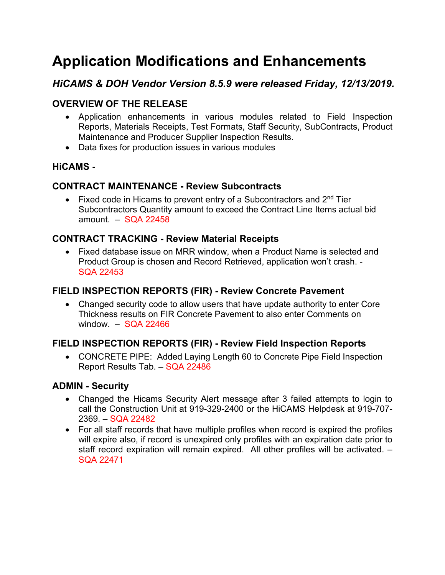# **Application Modifications and Enhancements**

# *HiCAMS & DOH Vendor Version 8.5.9 were released Friday, 12/13/2019.*

## **OVERVIEW OF THE RELEASE**

- Application enhancements in various modules related to Field Inspection Reports, Materials Receipts, Test Formats, Staff Security, SubContracts, Product Maintenance and Producer Supplier Inspection Results.
- Data fixes for production issues in various modules

#### **HiCAMS -**

#### **CONTRACT MAINTENANCE - Review Subcontracts**

• Fixed code in Hicams to prevent entry of a Subcontractors and  $2<sup>nd</sup>$  Tier Subcontractors Quantity amount to exceed the Contract Line Items actual bid amount. – SQA 22458

#### **CONTRACT TRACKING - Review Material Receipts**

• Fixed database issue on MRR window, when a Product Name is selected and Product Group is chosen and Record Retrieved, application won't crash. - SQA 22453

#### **FIELD INSPECTION REPORTS (FIR) - Review Concrete Pavement**

• Changed security code to allow users that have update authority to enter Core Thickness results on FIR Concrete Pavement to also enter Comments on window. – SQA 22466

## **FIELD INSPECTION REPORTS (FIR) - Review Field Inspection Reports**

• CONCRETE PIPE: Added Laying Length 60 to Concrete Pipe Field Inspection Report Results Tab. – SQA 22486

#### **ADMIN - Security**

- Changed the Hicams Security Alert message after 3 failed attempts to login to call the Construction Unit at 919-329-2400 or the HiCAMS Helpdesk at 919-707- 2369. – SQA 22482
- For all staff records that have multiple profiles when record is expired the profiles will expire also, if record is unexpired only profiles with an expiration date prior to staff record expiration will remain expired. All other profiles will be activated. – SQA 22471